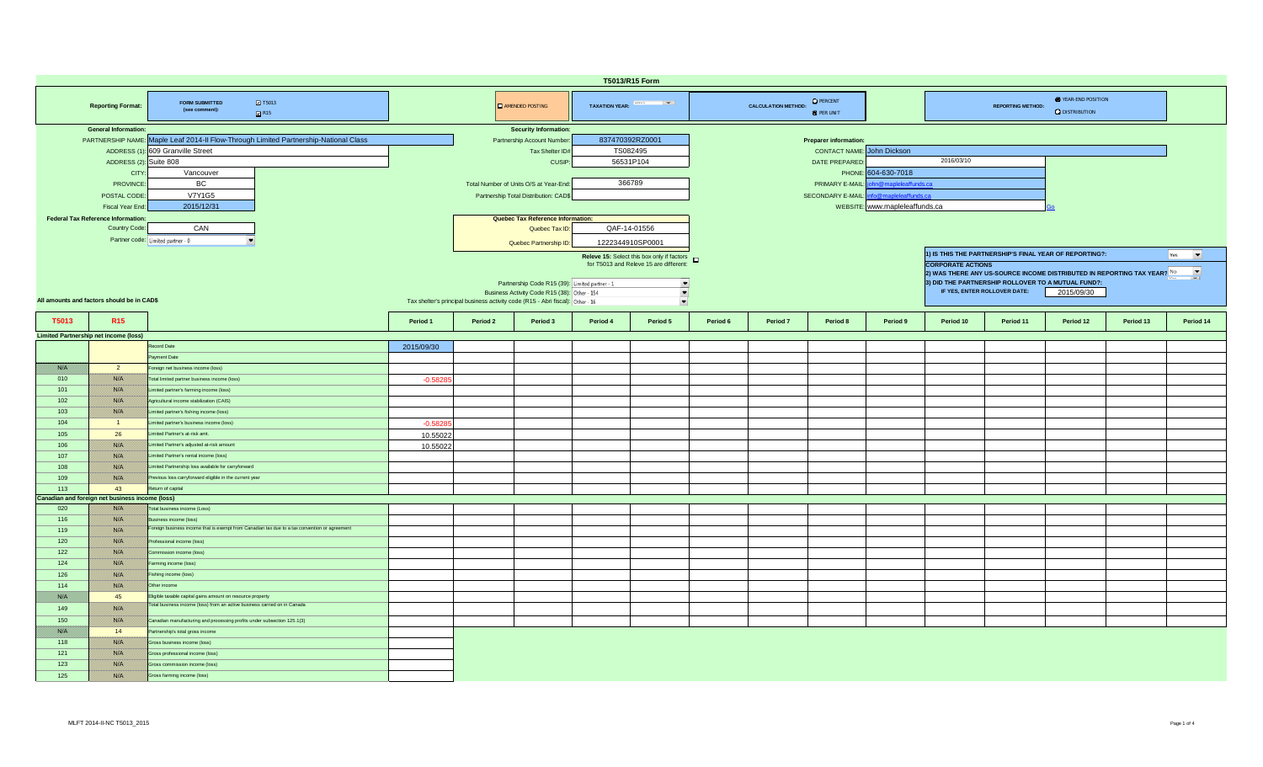| T5013/R15 Form                                                                               |                                                 |                                                                                                                         |            |                                                                               |                                                                                |                                                                         |                                                     |                                |                            |                                                                                           |                     |                                                                                                     |           |                                                    |           |           |  |  |  |  |
|----------------------------------------------------------------------------------------------|-------------------------------------------------|-------------------------------------------------------------------------------------------------------------------------|------------|-------------------------------------------------------------------------------|--------------------------------------------------------------------------------|-------------------------------------------------------------------------|-----------------------------------------------------|--------------------------------|----------------------------|-------------------------------------------------------------------------------------------|---------------------|-----------------------------------------------------------------------------------------------------|-----------|----------------------------------------------------|-----------|-----------|--|--|--|--|
| <b>2</b> T5013<br><b>FORM SUBMITTED</b><br><b>Reporting Format:</b><br>(see comment):<br>R15 |                                                 |                                                                                                                         |            |                                                                               | AMENDED POSTING                                                                |                                                                         | TAXATION YEAR: France                               |                                | <b>CALCULATION METHOD:</b> | <b>O</b> PERCENT<br><b>O</b> PER UNIT                                                     |                     | <b>E</b> YEAR-END POSITION<br><b>REPORTING METHOD:</b><br><b>Q</b> DISTRIBUTION                     |           |                                                    |           |           |  |  |  |  |
|                                                                                              | <b>General Information:</b>                     |                                                                                                                         |            |                                                                               | <b>Security Information:</b>                                                   |                                                                         |                                                     |                                |                            |                                                                                           |                     |                                                                                                     |           |                                                    |           |           |  |  |  |  |
|                                                                                              | PARTNERSHIP NAME:                               | Maple Leaf 2014-II Flow-Through Limited Partnership-National Class                                                      |            | 837470392RZ0001<br>Partnership Account Number<br><b>Preparer information:</b> |                                                                                |                                                                         |                                                     |                                |                            |                                                                                           |                     |                                                                                                     |           |                                                    |           |           |  |  |  |  |
|                                                                                              | ADDRESS (1                                      | 609 Granville Street                                                                                                    |            |                                                                               | Tax Shelter ID#                                                                | TS082495                                                                |                                                     |                                |                            | CONTACT NAME: John Dickson                                                                |                     |                                                                                                     |           |                                                    |           |           |  |  |  |  |
|                                                                                              | ADDRESS (2): Suite 808                          |                                                                                                                         |            |                                                                               | CUSIP:                                                                         | 56531P104                                                               |                                                     |                                |                            | DATE PREPARED                                                                             |                     | 2016/03/10                                                                                          |           |                                                    |           |           |  |  |  |  |
|                                                                                              | <b>CIT</b>                                      | Vancouver                                                                                                               |            |                                                                               |                                                                                |                                                                         |                                                     |                                |                            |                                                                                           | PHONE: 604-630-7018 |                                                                                                     |           |                                                    |           |           |  |  |  |  |
|                                                                                              | <b>PROVINCE</b>                                 | <b>BC</b>                                                                                                               |            |                                                                               | Total Number of Units O/S at Year-End:                                         |                                                                         | 366789                                              |                                |                            | PRIMARY E-MAIL:                                                                           |                     |                                                                                                     |           |                                                    |           |           |  |  |  |  |
|                                                                                              | POSTAL CODE                                     | <b>V7Y1G5</b>                                                                                                           |            |                                                                               | Partnership Total Distribution: CAD\$                                          | n@mapleleaffunds.ca<br><b>SECONDARY E-MAIL:</b><br>fo@mapleleaffunds.ca |                                                     |                                |                            |                                                                                           |                     |                                                                                                     |           |                                                    |           |           |  |  |  |  |
|                                                                                              | Fiscal Year End:                                | 2015/12/31                                                                                                              |            |                                                                               |                                                                                |                                                                         |                                                     | WEBSITE: www.mapleleaffunds.ca |                            |                                                                                           |                     |                                                                                                     |           |                                                    |           |           |  |  |  |  |
|                                                                                              | <b>Federal Tax Reference Information:</b>       |                                                                                                                         |            |                                                                               | Quebec Tax Reference Information:                                              |                                                                         |                                                     |                                |                            |                                                                                           |                     |                                                                                                     |           |                                                    |           |           |  |  |  |  |
|                                                                                              | Country Code:                                   | CAN                                                                                                                     |            |                                                                               | Quebec Tax ID:                                                                 |                                                                         | QAF-14-01556                                        |                                |                            |                                                                                           |                     |                                                                                                     |           |                                                    |           |           |  |  |  |  |
|                                                                                              |                                                 |                                                                                                                         |            |                                                                               |                                                                                |                                                                         |                                                     |                                |                            |                                                                                           |                     |                                                                                                     |           |                                                    |           |           |  |  |  |  |
|                                                                                              |                                                 | Partner code: Limited partner - 0<br>$\cdot$                                                                            |            |                                                                               | Quebec Partnership ID:                                                         | 1222344910SP0001                                                        |                                                     |                                |                            |                                                                                           |                     |                                                                                                     |           |                                                    |           |           |  |  |  |  |
|                                                                                              |                                                 |                                                                                                                         |            |                                                                               |                                                                                |                                                                         | Releve 15: Select this box only if factors <b>D</b> |                                |                            | 1) IS THIS THE PARTNERSHIP'S FINAL YEAR OF REPORTING?:<br>$\overline{\phantom{a}}$<br>Yes |                     |                                                                                                     |           |                                                    |           |           |  |  |  |  |
|                                                                                              |                                                 |                                                                                                                         |            |                                                                               |                                                                                |                                                                         | for T5013 and Releve 15 are different:              |                                |                            |                                                                                           |                     | <b>CORPORATE ACTIONS</b>                                                                            |           |                                                    |           |           |  |  |  |  |
|                                                                                              |                                                 |                                                                                                                         |            |                                                                               |                                                                                |                                                                         |                                                     |                                |                            |                                                                                           |                     | $\overline{\phantom{a}}$<br>2) WAS THERE ANY US-SOURCE INCOME DISTRIBUTED IN REPORTING TAX YEAR? No |           |                                                    |           |           |  |  |  |  |
|                                                                                              |                                                 |                                                                                                                         |            |                                                                               | Partnership Code R15 (39): Limited partner - 1                                 |                                                                         | $\frac{1}{\sqrt{2}}$                                |                                |                            |                                                                                           |                     |                                                                                                     |           | 3) DID THE PARTNERSHIP ROLLOVER TO A MUTUAL FUND?: |           |           |  |  |  |  |
|                                                                                              | All amounts and factors should be in CAD\$      |                                                                                                                         |            |                                                                               | Business Activity Code R15 (38): Other - 154                                   |                                                                         |                                                     |                                |                            |                                                                                           |                     | IF YES, ENTER ROLLOVER DATE:<br>2015/09/30                                                          |           |                                                    |           |           |  |  |  |  |
|                                                                                              |                                                 |                                                                                                                         |            |                                                                               | Tax shelter's principal business activity code (R15 - Abri fiscal): Other - 16 |                                                                         | $\bullet$                                           |                                |                            |                                                                                           |                     |                                                                                                     |           |                                                    |           |           |  |  |  |  |
| T5013                                                                                        | R <sub>15</sub>                                 |                                                                                                                         | Period 1   | Period 2                                                                      | Period 3                                                                       | Period 4                                                                | Period 5                                            | Period 6                       | Period 7                   | Period 8                                                                                  | Period 9            | Period 10                                                                                           | Period 11 | Period 12                                          | Period 13 | Period 14 |  |  |  |  |
|                                                                                              |                                                 |                                                                                                                         |            |                                                                               |                                                                                |                                                                         |                                                     |                                |                            |                                                                                           |                     |                                                                                                     |           |                                                    |           |           |  |  |  |  |
|                                                                                              | <b>Limited Partnership net income (loss)</b>    |                                                                                                                         |            |                                                                               |                                                                                |                                                                         |                                                     |                                |                            |                                                                                           |                     |                                                                                                     |           |                                                    |           |           |  |  |  |  |
|                                                                                              |                                                 | Record Date                                                                                                             | 2015/09/30 |                                                                               |                                                                                |                                                                         |                                                     |                                |                            |                                                                                           |                     |                                                                                                     |           |                                                    |           |           |  |  |  |  |
|                                                                                              |                                                 | ayment Date                                                                                                             |            |                                                                               |                                                                                |                                                                         |                                                     |                                |                            |                                                                                           |                     |                                                                                                     |           |                                                    |           |           |  |  |  |  |
| film an                                                                                      | $\overline{2}$                                  | oreign net business income (loss)                                                                                       |            |                                                                               |                                                                                |                                                                         |                                                     |                                |                            |                                                                                           |                     |                                                                                                     |           |                                                    |           |           |  |  |  |  |
| 010                                                                                          | //www                                           | Total limited partner business income (loss)                                                                            | $-0.5828$  |                                                                               |                                                                                |                                                                         |                                                     |                                |                            |                                                                                           |                     |                                                                                                     |           |                                                    |           |           |  |  |  |  |
| 101                                                                                          |                                                 | Limited partner's farming income (loss)                                                                                 |            |                                                                               |                                                                                |                                                                         |                                                     |                                |                            |                                                                                           |                     |                                                                                                     |           |                                                    |           |           |  |  |  |  |
| 102                                                                                          | 1980 OS                                         | Agricultural income stabilization (CAIS)                                                                                |            |                                                                               |                                                                                |                                                                         |                                                     |                                |                            |                                                                                           |                     |                                                                                                     |           |                                                    |           |           |  |  |  |  |
| 103                                                                                          | <u> Bibliotti II</u>                            | Limited partner's fishing income (loss)                                                                                 |            |                                                                               |                                                                                |                                                                         |                                                     |                                |                            |                                                                                           |                     |                                                                                                     |           |                                                    |           |           |  |  |  |  |
| 104                                                                                          | $\blacksquare$                                  | mited partner's business income (loss)                                                                                  | $-0.582$   |                                                                               |                                                                                |                                                                         |                                                     |                                |                            |                                                                                           |                     |                                                                                                     |           |                                                    |           |           |  |  |  |  |
| 105                                                                                          | 26                                              | imited Partner's at-risk amt.                                                                                           | 10.55022   |                                                                               |                                                                                |                                                                         |                                                     |                                |                            |                                                                                           |                     |                                                                                                     |           |                                                    |           |           |  |  |  |  |
| 106                                                                                          |                                                 | imited Partner's adjusted at-risk amount                                                                                |            |                                                                               |                                                                                |                                                                         |                                                     |                                |                            |                                                                                           |                     |                                                                                                     |           |                                                    |           |           |  |  |  |  |
| 107                                                                                          | 1980 OS                                         | Limited Partner's rental income (loss)                                                                                  | 10.55022   |                                                                               |                                                                                |                                                                         |                                                     |                                |                            |                                                                                           |                     |                                                                                                     |           |                                                    |           |           |  |  |  |  |
|                                                                                              |                                                 | Limited Partnership loss available for carryforward                                                                     |            |                                                                               |                                                                                |                                                                         |                                                     |                                |                            |                                                                                           |                     |                                                                                                     |           |                                                    |           |           |  |  |  |  |
| 108                                                                                          | issani                                          |                                                                                                                         |            |                                                                               |                                                                                |                                                                         |                                                     |                                |                            |                                                                                           |                     |                                                                                                     |           |                                                    |           |           |  |  |  |  |
| 109                                                                                          | <b>SSEE</b>                                     | Previous loss carryforward eligible in the current year                                                                 |            |                                                                               |                                                                                |                                                                         |                                                     |                                |                            |                                                                                           |                     |                                                                                                     |           |                                                    |           |           |  |  |  |  |
| 113                                                                                          | 43                                              | Return of capital                                                                                                       |            |                                                                               |                                                                                |                                                                         |                                                     |                                |                            |                                                                                           |                     |                                                                                                     |           |                                                    |           |           |  |  |  |  |
|                                                                                              | Canadian and foreign net business income (loss) |                                                                                                                         |            |                                                                               |                                                                                |                                                                         |                                                     |                                |                            |                                                                                           |                     |                                                                                                     |           |                                                    |           |           |  |  |  |  |
| 020                                                                                          |                                                 | Total business income (Loss)                                                                                            |            |                                                                               |                                                                                |                                                                         |                                                     |                                |                            |                                                                                           |                     |                                                                                                     |           |                                                    |           |           |  |  |  |  |
| 116                                                                                          | 1889. E                                         | Business income (loss)<br>Foreign business income that is exempt from Canadian tax due to a tax convention or agreement |            |                                                                               |                                                                                |                                                                         |                                                     |                                |                            |                                                                                           |                     |                                                                                                     |           |                                                    |           |           |  |  |  |  |
| 119                                                                                          | 1889 S                                          |                                                                                                                         |            |                                                                               |                                                                                |                                                                         |                                                     |                                |                            |                                                                                           |                     |                                                                                                     |           |                                                    |           |           |  |  |  |  |
| 120                                                                                          | <u> Kirk</u>                                    | Professional income (loss)                                                                                              |            |                                                                               |                                                                                |                                                                         |                                                     |                                |                            |                                                                                           |                     |                                                                                                     |           |                                                    |           |           |  |  |  |  |
| 122                                                                                          | <b>BARTA</b>                                    | commission income (loss)                                                                                                |            |                                                                               |                                                                                |                                                                         |                                                     |                                |                            |                                                                                           |                     |                                                                                                     |           |                                                    |           |           |  |  |  |  |
| 124                                                                                          |                                                 | arming income (loss)                                                                                                    |            |                                                                               |                                                                                |                                                                         |                                                     |                                |                            |                                                                                           |                     |                                                                                                     |           |                                                    |           |           |  |  |  |  |
| 126                                                                                          | filman k                                        | Fishing income (loss)                                                                                                   |            |                                                                               |                                                                                |                                                                         |                                                     |                                |                            |                                                                                           |                     |                                                                                                     |           |                                                    |           |           |  |  |  |  |
| 114                                                                                          | 788 P.H                                         | Other income                                                                                                            |            |                                                                               |                                                                                |                                                                         |                                                     |                                |                            |                                                                                           |                     |                                                                                                     |           |                                                    |           |           |  |  |  |  |
| <u> Karl I</u>                                                                               | 45                                              | Eligible taxable capital gains amount on resource property                                                              |            |                                                                               |                                                                                |                                                                         |                                                     |                                |                            |                                                                                           |                     |                                                                                                     |           |                                                    |           |           |  |  |  |  |
| 149                                                                                          | <u> Isoloofi</u>                                | l'otal business income (loss) from an active business carried on in Canada                                              |            |                                                                               |                                                                                |                                                                         |                                                     |                                |                            |                                                                                           |                     |                                                                                                     |           |                                                    |           |           |  |  |  |  |
| 150                                                                                          | 1980 OS                                         | Canadian manufacturing and processing profits under subsection 125.1(3)                                                 |            |                                                                               |                                                                                |                                                                         |                                                     |                                |                            |                                                                                           |                     |                                                                                                     |           |                                                    |           |           |  |  |  |  |
| film an                                                                                      | 14                                              | Partnership's total gross income                                                                                        |            |                                                                               |                                                                                |                                                                         |                                                     |                                |                            |                                                                                           |                     |                                                                                                     |           |                                                    |           |           |  |  |  |  |
| 118                                                                                          | <u> 1889 (b. 1</u>                              | Gross business income (loss)                                                                                            |            |                                                                               |                                                                                |                                                                         |                                                     |                                |                            |                                                                                           |                     |                                                                                                     |           |                                                    |           |           |  |  |  |  |
|                                                                                              |                                                 | Gross professional income (loss)                                                                                        |            |                                                                               |                                                                                |                                                                         |                                                     |                                |                            |                                                                                           |                     |                                                                                                     |           |                                                    |           |           |  |  |  |  |
| 121                                                                                          | 1889. E                                         |                                                                                                                         |            |                                                                               |                                                                                |                                                                         |                                                     |                                |                            |                                                                                           |                     |                                                                                                     |           |                                                    |           |           |  |  |  |  |
| 123                                                                                          | 1980 OS                                         | Gross commission income (loss)                                                                                          |            |                                                                               |                                                                                |                                                                         |                                                     |                                |                            |                                                                                           |                     |                                                                                                     |           |                                                    |           |           |  |  |  |  |
| 125                                                                                          | <u> Islami</u>                                  | Gross farming income (loss)                                                                                             |            |                                                                               |                                                                                |                                                                         |                                                     |                                |                            |                                                                                           |                     |                                                                                                     |           |                                                    |           |           |  |  |  |  |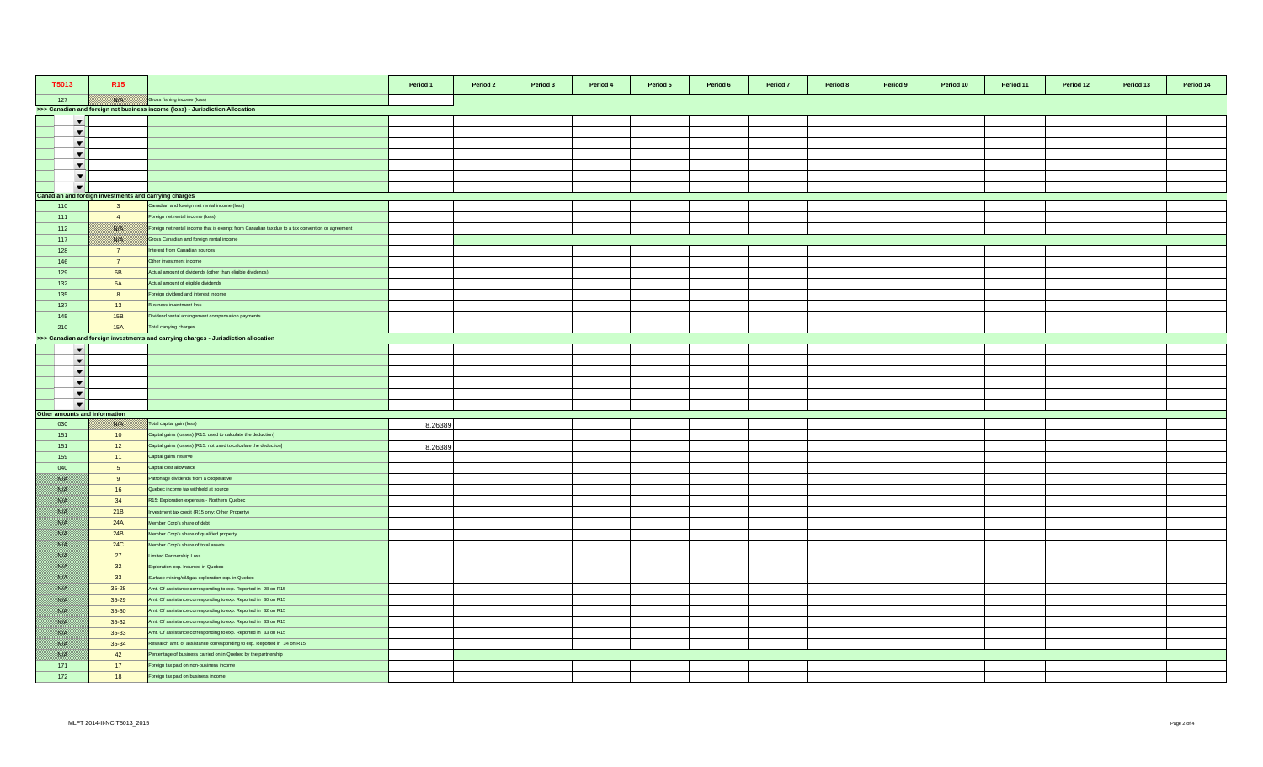| T5013                         | R <sub>15</sub>                                       |                                                                                                 | Period 1 | Period 2 | Period 3 | Period 4<br>Period 5 | Period 6 | Period 7 | Period 8 | Period 9 | Period 10 | Period 11 | Period 12 | Period 13 | Period 14 |
|-------------------------------|-------------------------------------------------------|-------------------------------------------------------------------------------------------------|----------|----------|----------|----------------------|----------|----------|----------|----------|-----------|-----------|-----------|-----------|-----------|
| 127                           |                                                       | Gross fishing income (loss)                                                                     |          |          |          |                      |          |          |          |          |           |           |           |           |           |
|                               |                                                       | >>> Canadian and foreign net business income (loss) - Jurisdiction Allocation                   |          |          |          |                      |          |          |          |          |           |           |           |           |           |
| $\overline{\phantom{a}}$      |                                                       |                                                                                                 |          |          |          |                      |          |          |          |          |           |           |           |           |           |
| $\overline{\phantom{a}}$      |                                                       |                                                                                                 |          |          |          |                      |          |          |          |          |           |           |           |           |           |
| $\overline{\phantom{a}}$      |                                                       |                                                                                                 |          |          |          |                      |          |          |          |          |           |           |           |           |           |
| $\blacktriangledown$          |                                                       |                                                                                                 |          |          |          |                      |          |          |          |          |           |           |           |           |           |
| $\blacktriangledown$          |                                                       |                                                                                                 |          |          |          |                      |          |          |          |          |           |           |           |           |           |
| $\overline{\phantom{a}}$      |                                                       |                                                                                                 |          |          |          |                      |          |          |          |          |           |           |           |           |           |
| $\overline{\phantom{a}}$      |                                                       |                                                                                                 |          |          |          |                      |          |          |          |          |           |           |           |           |           |
|                               | Canadian and foreign investments and carrying charges |                                                                                                 |          |          |          |                      |          |          |          |          |           |           |           |           |           |
| 110                           | $\overline{\mathbf{3}}$                               | Canadian and foreign net rental income (loss)                                                   |          |          |          |                      |          |          |          |          |           |           |           |           |           |
| 111                           | $\overline{4}$                                        | Foreign net rental income (loss)                                                                |          |          |          |                      |          |          |          |          |           |           |           |           |           |
| 112                           | <u> British</u>                                       | Foreign net rental income that is exempt from Canadian tax due to a tax convention or agreement |          |          |          |                      |          |          |          |          |           |           |           |           |           |
| 117                           | <b>BARTA</b>                                          | Gross Canadian and foreign rental income                                                        |          |          |          |                      |          |          |          |          |           |           |           |           |           |
| 128                           | $\overline{7}$                                        | terest from Canadian sources                                                                    |          |          |          |                      |          |          |          |          |           |           |           |           |           |
| 146                           | $\overline{7}$                                        | Other investment income                                                                         |          |          |          |                      |          |          |          |          |           |           |           |           |           |
| 129                           | 6B                                                    | Actual amount of dividends (other than eligible dividends)                                      |          |          |          |                      |          |          |          |          |           |           |           |           |           |
| 132                           | <b>6A</b>                                             | Actual amount of eligible dividends                                                             |          |          |          |                      |          |          |          |          |           |           |           |           |           |
| 135                           | 8                                                     | Foreign dividend and interest income                                                            |          |          |          |                      |          |          |          |          |           |           |           |           |           |
| 137                           | 13                                                    | Business investment loss                                                                        |          |          |          |                      |          |          |          |          |           |           |           |           |           |
| 145                           | 15B                                                   | Dividend rental arrangement compensation payments                                               |          |          |          |                      |          |          |          |          |           |           |           |           |           |
| 210                           | <b>15A</b>                                            | Total carrying charges                                                                          |          |          |          |                      |          |          |          |          |           |           |           |           |           |
|                               |                                                       | >>> Canadian and foreign investments and carrying charges - Jurisdiction allocation             |          |          |          |                      |          |          |          |          |           |           |           |           |           |
| $\overline{\phantom{a}}$      |                                                       |                                                                                                 |          |          |          |                      |          |          |          |          |           |           |           |           |           |
| $\overline{\phantom{a}}$      |                                                       |                                                                                                 |          |          |          |                      |          |          |          |          |           |           |           |           |           |
| $\overline{\phantom{a}}$      |                                                       |                                                                                                 |          |          |          |                      |          |          |          |          |           |           |           |           |           |
| $\overline{\phantom{a}}$      |                                                       |                                                                                                 |          |          |          |                      |          |          |          |          |           |           |           |           |           |
| $\blacktriangledown$          |                                                       |                                                                                                 |          |          |          |                      |          |          |          |          |           |           |           |           |           |
| $\overline{\phantom{a}}$      |                                                       |                                                                                                 |          |          |          |                      |          |          |          |          |           |           |           |           |           |
| Other amounts and information |                                                       |                                                                                                 |          |          |          |                      |          |          |          |          |           |           |           |           |           |
| 030                           | <b>BATH</b>                                           | Total capital gain (loss)                                                                       | 8.26389  |          |          |                      |          |          |          |          |           |           |           |           |           |
| 151                           | 10 <sup>°</sup>                                       | Capital gains (losses) [R15: used to calculate the deduction]                                   |          |          |          |                      |          |          |          |          |           |           |           |           |           |
| 151                           | 12                                                    | Capital gains (losses) [R15: not used to calculate the deduction]                               | 8.26389  |          |          |                      |          |          |          |          |           |           |           |           |           |
| 159                           | 11                                                    | Capital gains reserve                                                                           |          |          |          |                      |          |          |          |          |           |           |           |           |           |
| 040                           | 5 <sub>5</sub>                                        | Capital cost allowance                                                                          |          |          |          |                      |          |          |          |          |           |           |           |           |           |
| <u> Birliy</u>                | 9                                                     | Patronage dividends from a cooperative                                                          |          |          |          |                      |          |          |          |          |           |           |           |           |           |
| <u> Birth</u>                 | 16                                                    | Quebec income tax withheld at source                                                            |          |          |          |                      |          |          |          |          |           |           |           |           |           |
| <u> British</u>               | 34                                                    | R15: Exploration expenses - Northern Quebec                                                     |          |          |          |                      |          |          |          |          |           |           |           |           |           |
| <u> Birth</u>                 | 21B                                                   | westment tax credit (R15 only: Other Property)                                                  |          |          |          |                      |          |          |          |          |           |           |           |           |           |
| <u>filman</u>                 | 24A                                                   | Member Corp's share of debt                                                                     |          |          |          |                      |          |          |          |          |           |           |           |           |           |
| BANG K                        | 24B                                                   | Member Corp's share of qualified property                                                       |          |          |          |                      |          |          |          |          |           |           |           |           |           |
| //www                         | <b>24C</b>                                            | Member Corp's share of total assets                                                             |          |          |          |                      |          |          |          |          |           |           |           |           |           |
| film ann a                    | 27                                                    | Limited Partnership Loss                                                                        |          |          |          |                      |          |          |          |          |           |           |           |           |           |
| Birth M                       | 32                                                    | Exploration exp. Incurred in Quebec                                                             |          |          |          |                      |          |          |          |          |           |           |           |           |           |
| <u> British</u>               | 33                                                    | Surface mining/oil&gas exploration exp. in Quebec                                               |          |          |          |                      |          |          |          |          |           |           |           |           |           |
| <u>filman</u>                 | $35 - 28$                                             | Amt. Of assistance corresponding to exp. Reported in 28 on R15                                  |          |          |          |                      |          |          |          |          |           |           |           |           |           |
| //www                         | $35 - 29$                                             | Amt. Of assistance corresponding to exp. Reported in 30 on R15                                  |          |          |          |                      |          |          |          |          |           |           |           |           |           |
| <u> British</u>               | $35 - 30$                                             | Amt. Of assistance corresponding to exp. Reported in 32 on R15                                  |          |          |          |                      |          |          |          |          |           |           |           |           |           |
| <u> Birth</u>                 | $35 - 32$                                             | Amt. Of assistance corresponding to exp. Reported in 33 on R15                                  |          |          |          |                      |          |          |          |          |           |           |           |           |           |
| 1860 B                        | $35 - 33$                                             | Amt. Of assistance corresponding to exp. Reported in 33 on R15                                  |          |          |          |                      |          |          |          |          |           |           |           |           |           |
| <u> British</u>               | $35 - 34$                                             | Research amt. of assistance corresponding to exp. Reported in 34 on R15                         |          |          |          |                      |          |          |          |          |           |           |           |           |           |
| //www                         | 42                                                    | Percentage of business carried on in Quebec by the partnership                                  |          |          |          |                      |          |          |          |          |           |           |           |           |           |
| 171                           | 17                                                    | Foreign tax paid on non-business income                                                         |          |          |          |                      |          |          |          |          |           |           |           |           |           |
| 172                           | 18                                                    | Foreign tax paid on business income                                                             |          |          |          |                      |          |          |          |          |           |           |           |           |           |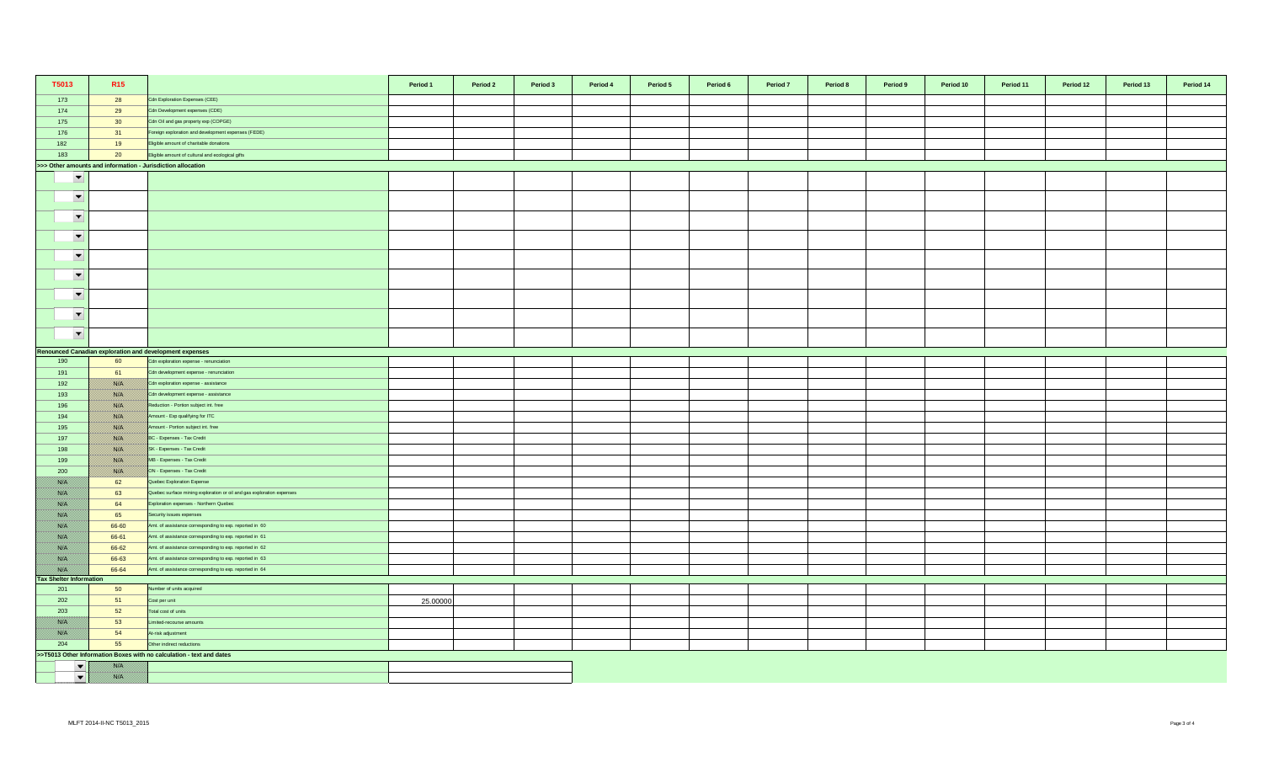| T5013                          | R <sub>15</sub> |                                                                       | Period 1 | Period 2 | Period 3 | Period 4 | Period 5 | Period 6 | Period 7 | Period 8 | Period 9 | Period 10 | Period 11 | Period 12 | Period 13 | Period 14 |
|--------------------------------|-----------------|-----------------------------------------------------------------------|----------|----------|----------|----------|----------|----------|----------|----------|----------|-----------|-----------|-----------|-----------|-----------|
| 173                            | 28              | Cdn Exploration Expenses (CEE)                                        |          |          |          |          |          |          |          |          |          |           |           |           |           |           |
| 174                            | 29              | Cdn Development expenses (CDE)                                        |          |          |          |          |          |          |          |          |          |           |           |           |           |           |
| 175                            | 30              | Cdn Oil and gas property exp (COPGE)                                  |          |          |          |          |          |          |          |          |          |           |           |           |           |           |
| 176                            | 31              | Foreign exploration and development expenses (FEDE)                   |          |          |          |          |          |          |          |          |          |           |           |           |           |           |
| 182                            | 19              | Eligible amount of charitable donations                               |          |          |          |          |          |          |          |          |          |           |           |           |           |           |
| 183                            | 20              | Eligible amount of cultural and ecological gifts                      |          |          |          |          |          |          |          |          |          |           |           |           |           |           |
|                                |                 | >>> Other amounts and information - Jurisdiction allocation           |          |          |          |          |          |          |          |          |          |           |           |           |           |           |
| $\overline{\phantom{a}}$       |                 |                                                                       |          |          |          |          |          |          |          |          |          |           |           |           |           |           |
| $\overline{\phantom{a}}$       |                 |                                                                       |          |          |          |          |          |          |          |          |          |           |           |           |           |           |
| $\overline{\phantom{a}}$       |                 |                                                                       |          |          |          |          |          |          |          |          |          |           |           |           |           |           |
| $\overline{\phantom{a}}$       |                 |                                                                       |          |          |          |          |          |          |          |          |          |           |           |           |           |           |
| $\overline{\phantom{a}}$       |                 |                                                                       |          |          |          |          |          |          |          |          |          |           |           |           |           |           |
| $\overline{\phantom{a}}$       |                 |                                                                       |          |          |          |          |          |          |          |          |          |           |           |           |           |           |
| $\overline{\phantom{a}}$       |                 |                                                                       |          |          |          |          |          |          |          |          |          |           |           |           |           |           |
| $\overline{\phantom{a}}$       |                 |                                                                       |          |          |          |          |          |          |          |          |          |           |           |           |           |           |
| $\blacktriangledown$           |                 |                                                                       |          |          |          |          |          |          |          |          |          |           |           |           |           |           |
|                                |                 | Renounced Canadian exploration and development expenses               |          |          |          |          |          |          |          |          |          |           |           |           |           |           |
| 190                            | 60              | Cdn exploration expense - renunciation                                |          |          |          |          |          |          |          |          |          |           |           |           |           |           |
| 191                            | 61              | Cdn development expense - renunciation                                |          |          |          |          |          |          |          |          |          |           |           |           |           |           |
| 192                            | <u> Karlin</u>  | Cdn exploration expense - assistance                                  |          |          |          |          |          |          |          |          |          |           |           |           |           |           |
| 193                            |                 | Cdn development expense - assistance                                  |          |          |          |          |          |          |          |          |          |           |           |           |           |           |
| 196                            |                 | Reduction - Portion subject int. free                                 |          |          |          |          |          |          |          |          |          |           |           |           |           |           |
| 194                            |                 | Amount - Exp qualifying for ITC                                       |          |          |          |          |          |          |          |          |          |           |           |           |           |           |
| 195                            | <u> ISSUS I</u> | mount - Portion subject int. free                                     |          |          |          |          |          |          |          |          |          |           |           |           |           |           |
| 197                            | <u> Karlin</u>  | BC - Expenses - Tax Credit                                            |          |          |          |          |          |          |          |          |          |           |           |           |           |           |
| 198                            |                 | SK - Expenses - Tax Credit                                            |          |          |          |          |          |          |          |          |          |           |           |           |           |           |
| 199                            |                 | MB - Expenses - Tax Credit                                            |          |          |          |          |          |          |          |          |          |           |           |           |           |           |
| 200                            | USSA S          | ON - Expenses - Tax Credit                                            |          |          |          |          |          |          |          |          |          |           |           |           |           |           |
| film an                        | 62              | Quebec Exploration Expense                                            |          |          |          |          |          |          |          |          |          |           |           |           |           |           |
| <u> Birth I</u>                | 63              | Quebec surface mining exploration or oil and gas exploration expenses |          |          |          |          |          |          |          |          |          |           |           |           |           |           |
| <u> British</u>                | 64              | Exploration expenses - Northern Quebec                                |          |          |          |          |          |          |          |          |          |           |           |           |           |           |
| <u> Wissels I</u>              | 65              | Security issues expenses                                              |          |          |          |          |          |          |          |          |          |           |           |           |           |           |
| 78. S                          | 66-60           | Amt. of assistance corresponding to exp. reported in 60               |          |          |          |          |          |          |          |          |          |           |           |           |           |           |
| film an                        | 66-61           | Amt. of assistance corresponding to exp. reported in 61               |          |          |          |          |          |          |          |          |          |           |           |           |           |           |
| <u>filman</u>                  | 66-62           | Amt. of assistance corresponding to exp. reported in 62               |          |          |          |          |          |          |          |          |          |           |           |           |           |           |
| <u> Biblioth</u>               | 66-63           | Amt. of assistance corresponding to exp. reported in 63               |          |          |          |          |          |          |          |          |          |           |           |           |           |           |
|                                | 66-64           | Amt. of assistance corresponding to exp. reported in 64               |          |          |          |          |          |          |          |          |          |           |           |           |           |           |
| <b>Tax Shelter Information</b> |                 |                                                                       |          |          |          |          |          |          |          |          |          |           |           |           |           |           |
| 201                            | 50              | lumber of units acquired                                              |          |          |          |          |          |          |          |          |          |           |           |           |           |           |
| 202                            | 51              | Cost per unit                                                         | 25.00000 |          |          |          |          |          |          |          |          |           |           |           |           |           |
| 203                            | 52              | Total cost of units                                                   |          |          |          |          |          |          |          |          |          |           |           |           |           |           |
|                                | 53              | imited-recourse amounts                                               |          |          |          |          |          |          |          |          |          |           |           |           |           |           |
|                                | 54              | At-risk adjustment                                                    |          |          |          |          |          |          |          |          |          |           |           |           |           |           |
| 204                            | 55              | Other indirect reductions                                             |          |          |          |          |          |          |          |          |          |           |           |           |           |           |
|                                |                 | >>T5013 Other Information Boxes with no calculation - text and dates  |          |          |          |          |          |          |          |          |          |           |           |           |           |           |
| $\blacktriangledown$           |                 |                                                                       |          |          |          |          |          |          |          |          |          |           |           |           |           |           |
| $\blacktriangledown$           | film an         |                                                                       |          |          |          |          |          |          |          |          |          |           |           |           |           |           |